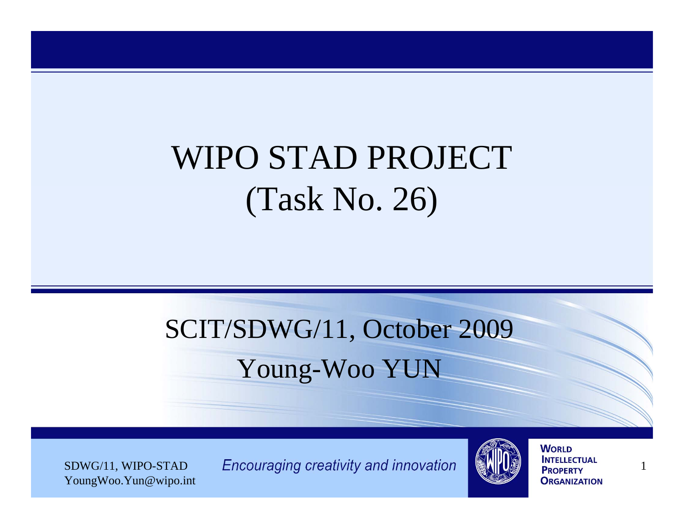## WIPO STAD PROJECT (Task No. 26)

### SCIT/SDWG/11, October 2009 Young-Woo YUN

YoungWoo.Yun@wipo.int

 $SDWG/11$ , WIPO-STAD Encouraging creativity and innovation  $\left[\begin{array}{c|c} \mathbf{W} & \mathbf{W} \end{array}\right]$  INTELLECTUAL 1

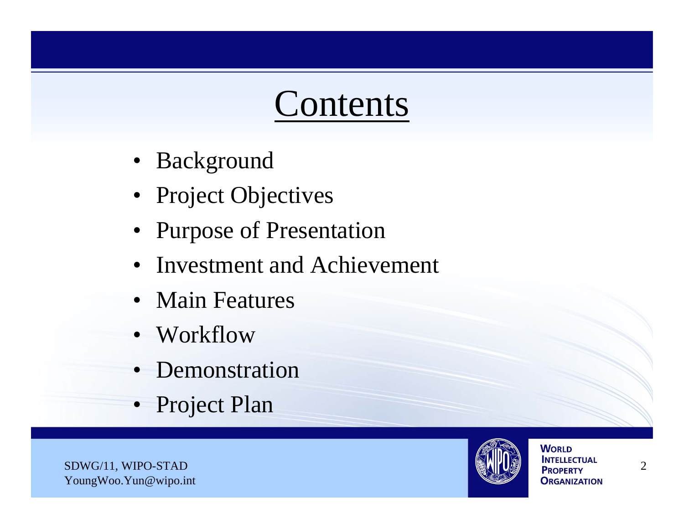## Contents

- Background
- Project Objectives
- Purpose of Presentation
- Investment and Achievement
- Main Features
- Workflow
- Demonstration
- Project Plan

SDWG/11, WIPO-STAD 2 YoungWoo.Yun@wipo.int

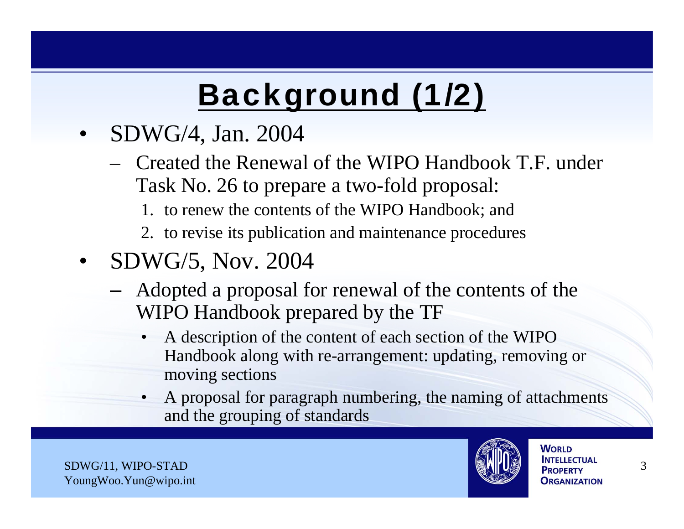# Background (1/2)

- SDWG/4, Jan. 2004
	- Created the Renewal of the WIPO Handbook T.F. under Task No. 26 to prepare a two-fold proposal:
		- 1. to renew the contents of the WIPO Handbook; and
		- 2. to revise its publication and maintenance procedures
- SDWG/5, Nov. 2004
	- Adopted a proposal for renewal of the contents of the WIPO Handbook prepared by the TF
		- A description of the content of each section of the WIPO Handbook along with re-arrangement: updating, removing or moving sections
		- A proposal for paragraph numbering, the naming of attachments and the grouping of standards

SDWG/11, WIPO-STAD 3 YoungWoo.Yun@wipo.int

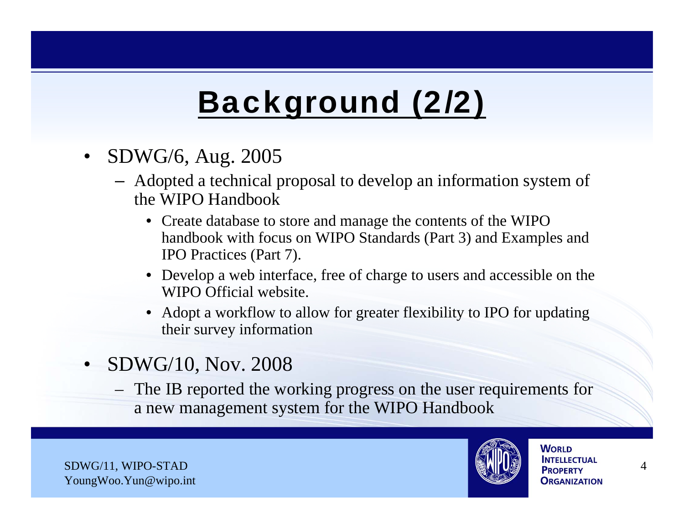## Background (2/2)

- SDWG/6, Aug. 2005
	- Adopted a technical proposal to develop an information system of the WIPO Handbook
		- Create database to store and manage the contents of the WIPO handbook with focus on WIPO Standards (Part 3) and Examples and IPO Practices (Part 7).
		- Develop a web interface, free of charge to users and accessible on the WIPO Official website.
		- Adopt a workflow to allow for greater flexibility to IPO for updating their survey information
- SDWG/10, Nov. 2008
	- The IB reported the working progress on the user requirements for a new management system for the WIPO Handbook

SDWG/11, WIPO-STAD 4 YoungWoo.Yun@wipo.int

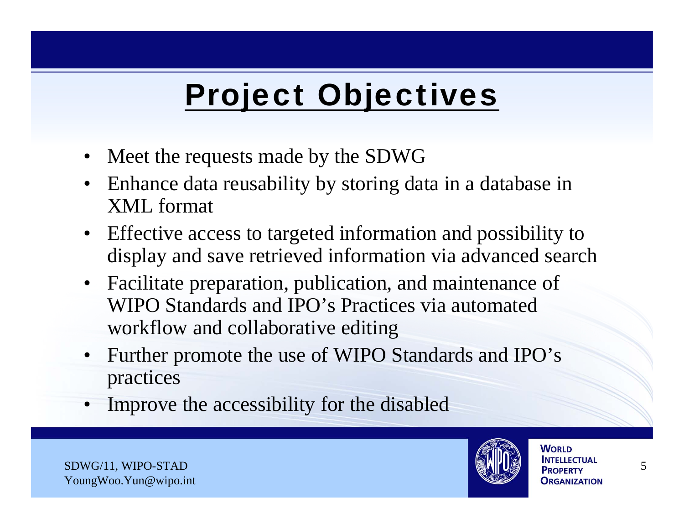# Project Objectives

- Meet the requests made by the SDWG
- Enhance data reusability by storing data in a database in XML format
- Effective access to targeted information and possibility to display and save retrieved information via advanced search
- Facilitate preparation, publication, and maintenance of WIPO Standards and IPO's Practices via automated workflow and collaborative editing
- Further promote the use of WIPO Standards and IPO's practices
- Improve the accessibility for the disabled

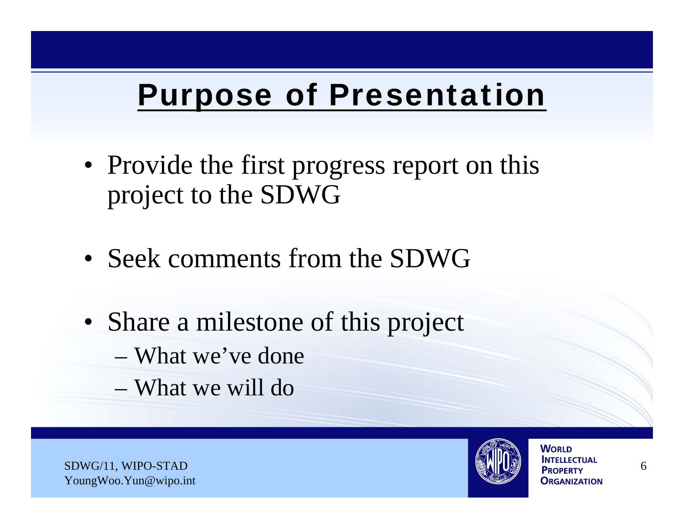### Purpose of Presentation

- Provide the first progress report on this project to the SDWG
- Seek comments from the SDWG
- Share a milestone of this project
	- What we've done
	- What we will do

SDWG/11, WIPO-STAD 6 YoungWoo.Yun@wipo.int

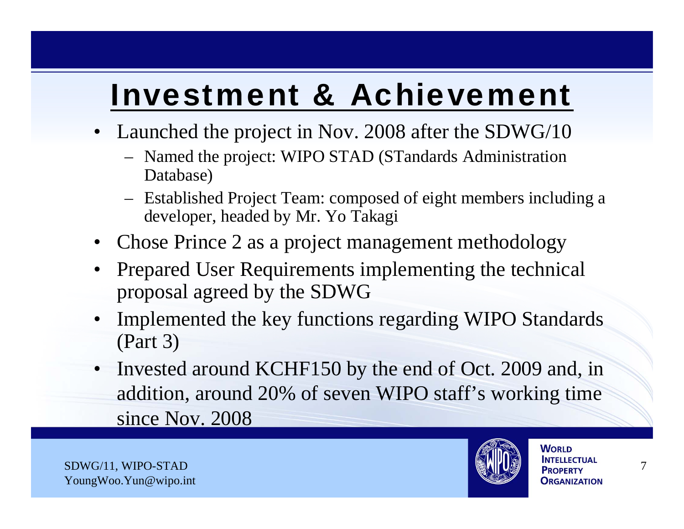#### Investment & Achievement

- Launched the project in Nov. 2008 after the SDWG/10
	- Named the project: WIPO STAD (STandards Administration Database)
	- Established Project Team: composed of eight members including a developer, headed by Mr. Yo Takagi
- Chose Prince 2 as a project management methodology
- Prepared User Requirements implementing the technical proposal agreed by the SDWG
- Implemented the key functions regarding WIPO Standards (Part 3)
- Invested around KCHF150 by the end of Oct. 2009 and, in addition, around 20% of seven WIPO staff's working time since Nov. 2008

SDWG/11, WIPO-STAD 7 YoungWoo.Yun@wipo.int

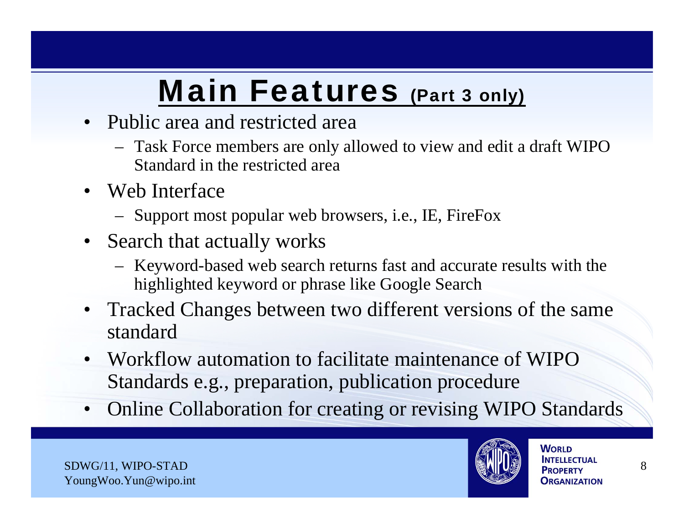## Main Features (Part 3 only)

- Public area and restricted area
	- Task Force members are only allowed to view and edit a draft WIPO Standard in the restricted area
- Web Interface
	- Support most popular web browsers, i.e., IE, FireFox
- Search that actually works
	- Keyword-based web search returns fast and accurate results with the highlighted keyword or phrase like Google Search
- Tracked Changes between two different versions of the same standard
- Workflow automation to facilitate maintenance of WIPO Standards e.g., preparation, publication procedure
- Online Collaboration for creating or revising WIPO Standards

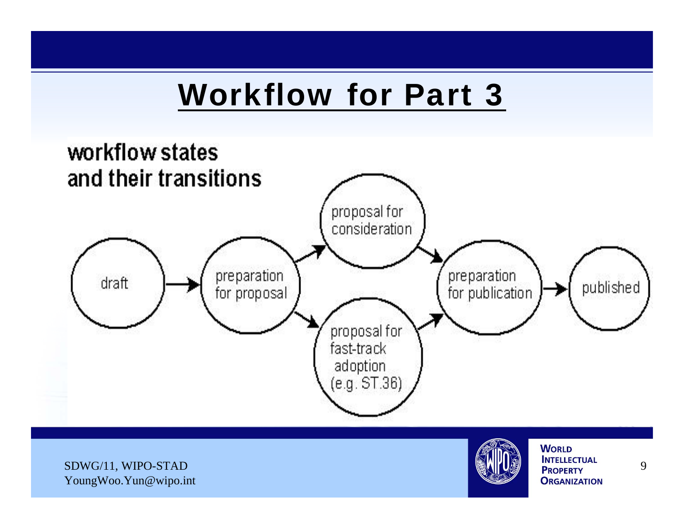#### Workflow for Part 3



SDWG/11, WIPO-STAD 9 YoungWoo.Yun@wipo.int

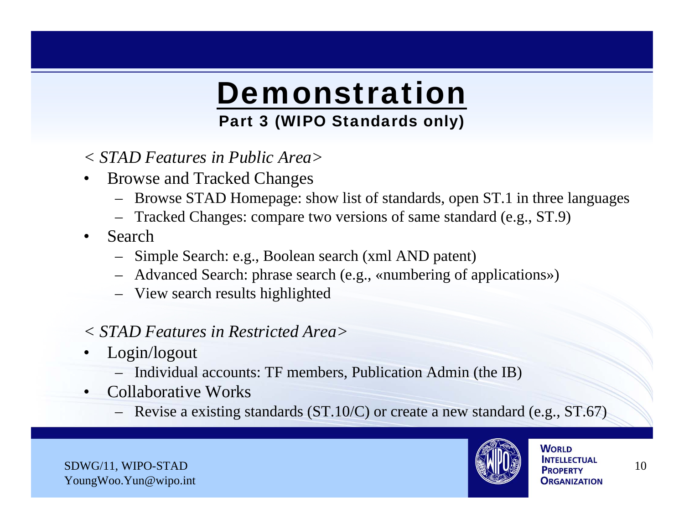## Demonstration

#### Part 3 (WIPO Standards only)

- *< STAD Features in Public Area>*
- Browse and Tracked Changes
	- Browse STAD Homepage: show list of standards, open ST.1 in three languages
	- Tracked Changes: compare two versions of same standard (e.g., ST.9)
- Search
	- Simple Search: e.g., Boolean search (xml AND patent)
	- Advanced Search: phrase search (e.g., «numbering of applications»)
	- View search results highlighted
- *< STAD Features in Restricted Area>*
- Login/logout
	- Individual accounts: TF members, Publication Admin (the IB)
- Collaborative Works
	- Revise a existing standards (ST.10/C) or create a new standard (e.g., ST.67)

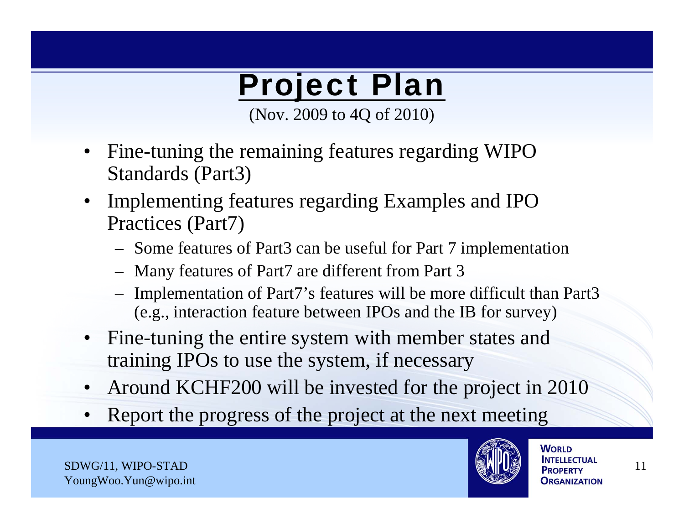## Project Plan

(Nov. 2009 to 4Q of 2010)

- Fine-tuning the remaining features regarding WIPO Standards (Part3)
- Implementing features regarding Examples and IPO Practices (Part7)
	- Some features of Part3 can be useful for Part 7 implementation
	- Many features of Part7 are different from Part 3
	- Implementation of Part7's features will be more difficult than Part3 (e.g., interaction feature between IPOs and the IB for survey)
- Fine-tuning the entire system with member states and training IPOs to use the system, if necessary
- Around KCHF200 will be invested for the project in 2010
- Report the progress of the project at the next meeting